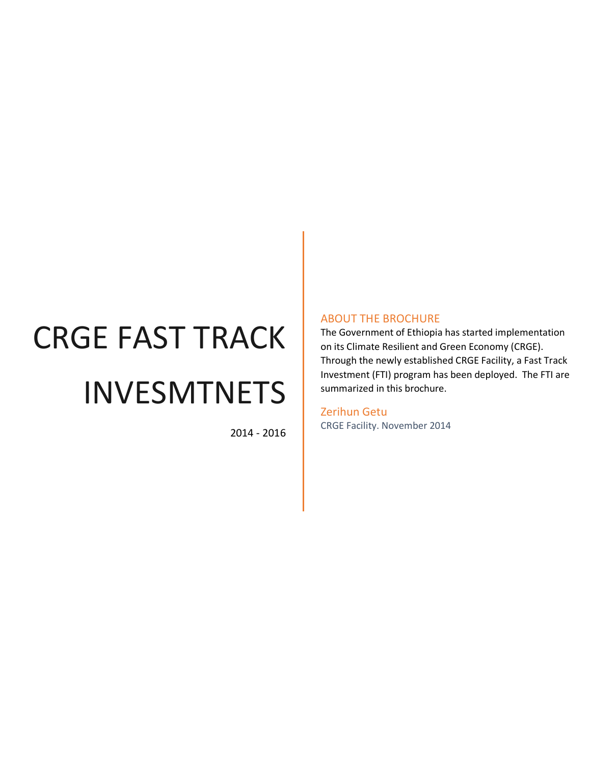# CRGE FAST TRACK INVESMTNETS

2014 - 2016

### ABOUT THE BROCHURE

The Government of Ethiopia has started implementation on its Climate Resilient and Green Economy (CRGE). Through the newly established CRGE Facility, a Fast Track Investment (FTI) program has been deployed. The FTI are summarized in this brochure.

Zerihun Getu CRGE Facility. November 2014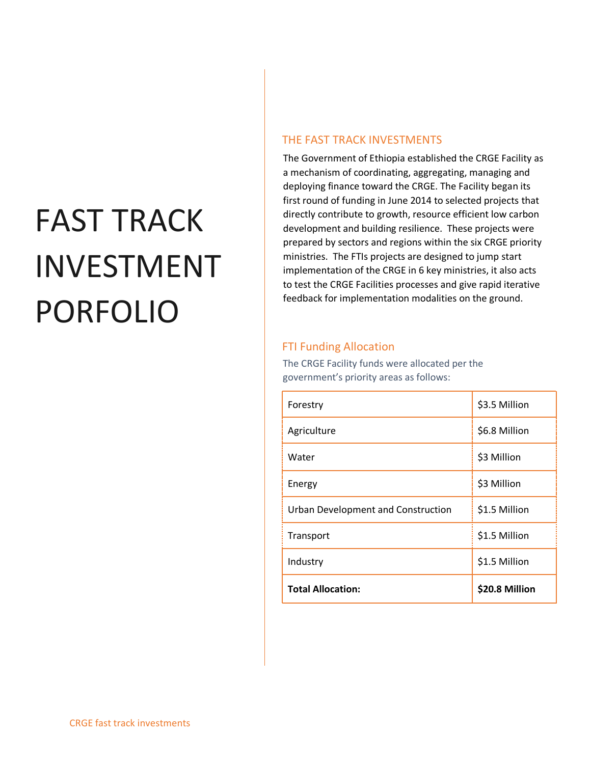# FAST TRACK INVESTMENT PORFOLIO

## THE FAST TRACK INVESTMENTS

The Government of Ethiopia established the CRGE Facility as a mechanism of coordinating, aggregating, managing and deploying finance toward the CRGE. The Facility began its first round of funding in June 2014 to selected projects that directly contribute to growth, resource efficient low carbon development and building resilience. These projects were prepared by sectors and regions within the six CRGE priority ministries. The FTIs projects are designed to jump start implementation of the CRGE in 6 key ministries, it also acts to test the CRGE Facilities processes and give rapid iterative feedback for implementation modalities on the ground.

## FTI Funding Allocation

The CRGE Facility funds were allocated per the government's priority areas as follows:

| Forestry                           | \$3.5 Million  |
|------------------------------------|----------------|
| Agriculture                        | \$6.8 Million  |
| Water                              | \$3 Million    |
| Energy                             | \$3 Million    |
| Urban Development and Construction | \$1.5 Million  |
| Transport                          | \$1.5 Million  |
| Industry                           | \$1.5 Million  |
| <b>Total Allocation:</b>           | \$20.8 Million |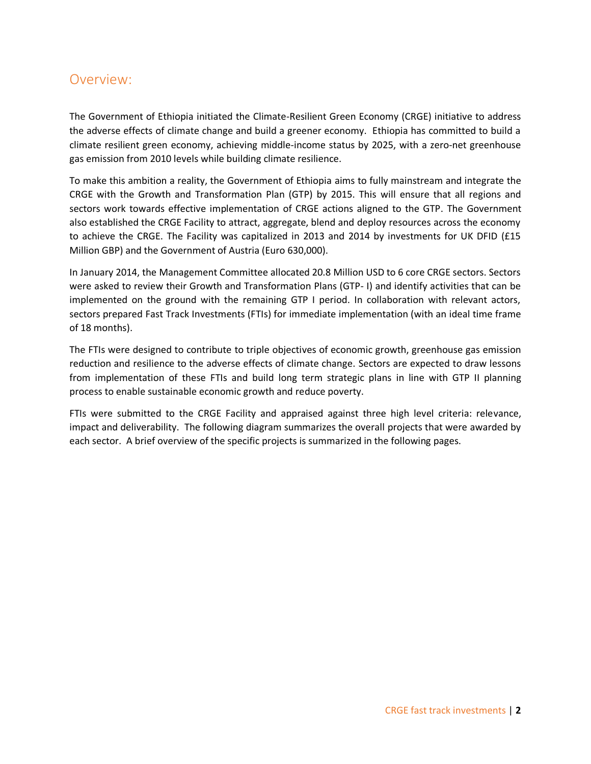# Overview:

The Government of Ethiopia initiated the Climate-Resilient Green Economy (CRGE) initiative to address the adverse effects of climate change and build a greener economy. Ethiopia has committed to build a climate resilient green economy, achieving middle-income status by 2025, with a zero-net greenhouse gas emission from 2010 levels while building climate resilience.

To make this ambition a reality, the Government of Ethiopia aims to fully mainstream and integrate the CRGE with the Growth and Transformation Plan (GTP) by 2015. This will ensure that all regions and sectors work towards effective implementation of CRGE actions aligned to the GTP. The Government also established the CRGE Facility to attract, aggregate, blend and deploy resources across the economy to achieve the CRGE. The Facility was capitalized in 2013 and 2014 by investments for UK DFID (£15 Million GBP) and the Government of Austria (Euro 630,000).

In January 2014, the Management Committee allocated 20.8 Million USD to 6 core CRGE sectors. Sectors were asked to review their Growth and Transformation Plans (GTP- I) and identify activities that can be implemented on the ground with the remaining GTP I period. In collaboration with relevant actors, sectors prepared Fast Track Investments (FTIs) for immediate implementation (with an ideal time frame of 18 months).

The FTIs were designed to contribute to triple objectives of economic growth, greenhouse gas emission reduction and resilience to the adverse effects of climate change. Sectors are expected to draw lessons from implementation of these FTIs and build long term strategic plans in line with GTP II planning process to enable sustainable economic growth and reduce poverty.

FTIs were submitted to the CRGE Facility and appraised against three high level criteria: relevance, impact and deliverability. The following diagram summarizes the overall projects that were awarded by each sector. A brief overview of the specific projects is summarized in the following pages.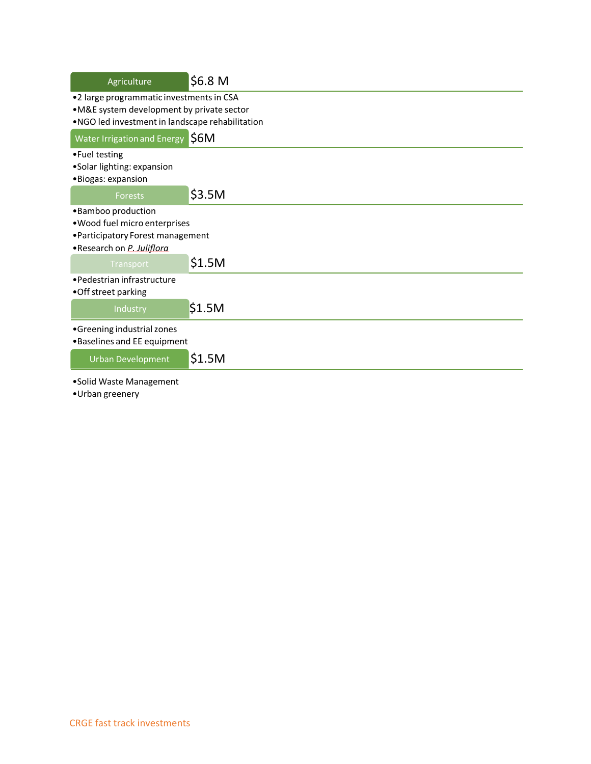| Agriculture                                                                                                                              | \$6.8 M |
|------------------------------------------------------------------------------------------------------------------------------------------|---------|
| •2 large programmatic investments in CSA<br>•M&E system development by private sector<br>.NGO led investment in landscape rehabilitation |         |
| <b>Water Irrigation and Energy</b>                                                                                                       | \$6M    |
| •Fuel testing<br>•Solar lighting: expansion<br>•Biogas: expansion                                                                        |         |
| <b>Forests</b>                                                                                                                           | \$3.5M  |
| •Bamboo production<br>. Wood fuel micro enterprises<br>• Participatory Forest management<br>•Research on P. Juliflora                    |         |
| Transport                                                                                                                                | \$1.5M  |
| • Pedestrian infrastructure<br>•Off street parking                                                                                       |         |
| Industry                                                                                                                                 | \$1.5M  |
| •Greening industrial zones<br>•Baselines and EE equipment                                                                                |         |
| <b>Urban Development</b>                                                                                                                 | \$1.5M  |
| •Solid Waste Management<br>•Urban greenery                                                                                               |         |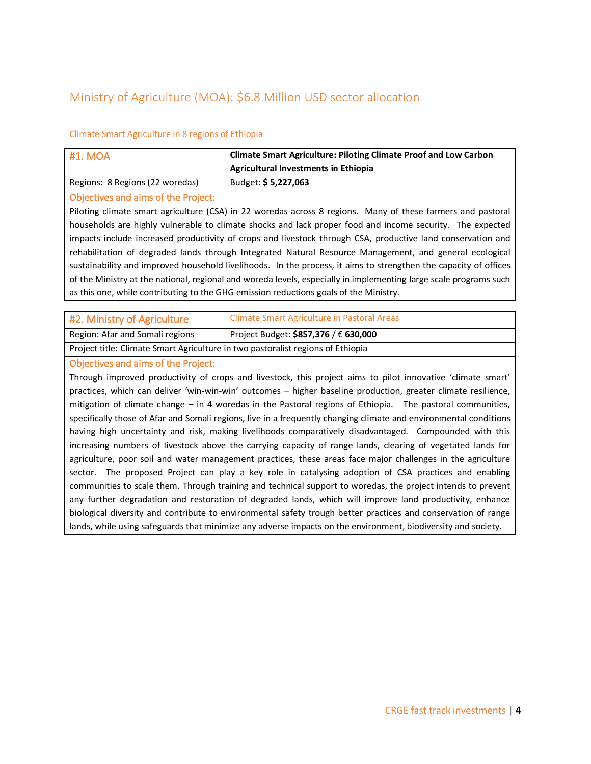# Ministry of Agriculture (MOA): \$6.8 Million USD sector allocation

#### Climate Smart Agriculture in 8 regions of Ethiopia

| <b>#1. MOA</b>                  | <b>Climate Smart Agriculture: Piloting Climate Proof and Low Carbon</b><br>Agricultural Investments in Ethiopia |
|---------------------------------|-----------------------------------------------------------------------------------------------------------------|
| Regions: 8 Regions (22 woredas) | Budget: \$5,227,063                                                                                             |

#### Objectives and aims of the Project:

Piloting climate smart agriculture (CSA) in 22 woredas across 8 regions. Many of these farmers and pastoral households are highly vulnerable to climate shocks and lack proper food and income security. The expected impacts include increased productivity of crops and livestock through CSA, productive land conservation and rehabilitation of degraded lands through Integrated Natural Resource Management, and general ecological sustainability and improved household livelihoods. In the process, it aims to strengthen the capacity of offices of the Ministry at the national, regional and woreda levels, especially in implementing large scale programs such as this one, while contributing to the GHG emission reductions goals of the Ministry.

| #2. Ministry of Agriculture                                                     | Climate Smart Agriculture in Pastoral Areas |
|---------------------------------------------------------------------------------|---------------------------------------------|
| Region: Afar and Somali regions                                                 | Project Budget: \$857,376 / € 630,000       |
| Project title: Climate Smart Agriculture in two pastoralist regions of Ethiopia |                                             |

#### Objectives and aims of the Project:

Through improved productivity of crops and livestock, this project aims to pilot innovative 'climate smart' practices, which can deliver 'win-win-win' outcomes – higher baseline production, greater climate resilience, mitigation of climate change – in 4 woredas in the Pastoral regions of Ethiopia. The pastoral communities, specifically those of Afar and Somali regions, live in a frequently changing climate and environmental conditions having high uncertainty and risk, making livelihoods comparatively disadvantaged. Compounded with this increasing numbers of livestock above the carrying capacity of range lands, clearing of vegetated lands for agriculture, poor soil and water management practices, these areas face major challenges in the agriculture sector. The proposed Project can play a key role in catalysing adoption of CSA practices and enabling communities to scale them. Through training and technical support to woredas, the project intends to prevent any further degradation and restoration of degraded lands, which will improve land productivity, enhance biological diversity and contribute to environmental safety trough better practices and conservation of range lands, while using safeguards that minimize any adverse impacts on the environment, biodiversity and society.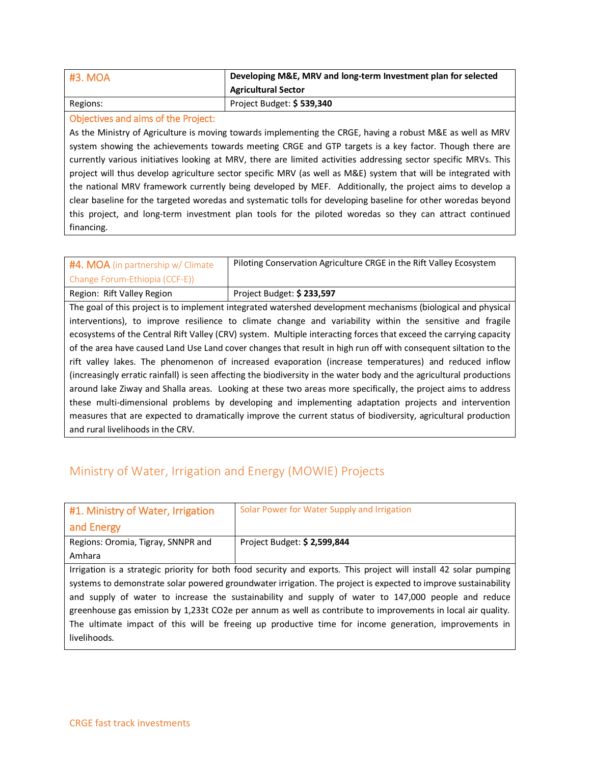| #3. MOA  | Developing M&E, MRV and long-term Investment plan for selected |
|----------|----------------------------------------------------------------|
|          | <b>Agricultural Sector</b>                                     |
| Regions: | Project Budget: \$539,340                                      |

#### Objectives and aims of the Project:

As the Ministry of Agriculture is moving towards implementing the CRGE, having a robust M&E as well as MRV system showing the achievements towards meeting CRGE and GTP targets is a key factor. Though there are currently various initiatives looking at MRV, there are limited activities addressing sector specific MRVs. This project will thus develop agriculture sector specific MRV (as well as M&E) system that will be integrated with the national MRV framework currently being developed by MEF. Additionally, the project aims to develop a clear baseline for the targeted woredas and systematic tolls for developing baseline for other woredas beyond this project, and long-term investment plan tools for the piloted woredas so they can attract continued financing.

| #4. MOA (in partnership w/ Climate                                                                                    | Piloting Conservation Agriculture CRGE in the Rift Valley Ecosystem                                               |  |  |
|-----------------------------------------------------------------------------------------------------------------------|-------------------------------------------------------------------------------------------------------------------|--|--|
| Change Forum-Ethiopia (CCF-E))                                                                                        |                                                                                                                   |  |  |
| Region: Rift Valley Region                                                                                            | Project Budget: \$233,597                                                                                         |  |  |
| The goal of this project is to implement integrated watershed development mechanisms (biological and physical         |                                                                                                                   |  |  |
|                                                                                                                       | interventions), to improve resilience to climate change and variability within the sensitive and fragile          |  |  |
|                                                                                                                       | ecosystems of the Central Rift Valley (CRV) system. Multiple interacting forces that exceed the carrying capacity |  |  |
| of the area have caused Land Use Land cover changes that result in high run off with consequent siltation to the      |                                                                                                                   |  |  |
|                                                                                                                       | rift valley lakes. The phenomenon of increased evaporation (increase temperatures) and reduced inflow             |  |  |
| (increasingly erratic rainfall) is seen affecting the biodiversity in the water body and the agricultural productions |                                                                                                                   |  |  |
| around lake Ziway and Shalla areas. Looking at these two areas more specifically, the project aims to address         |                                                                                                                   |  |  |
|                                                                                                                       | these multi-dimensional problems by developing and implementing adaptation projects and intervention              |  |  |
|                                                                                                                       | measures that are expected to dramatically improve the current status of biodiversity, agricultural production    |  |  |
| and rural livelihoods in the CRV.                                                                                     |                                                                                                                   |  |  |

# Ministry of Water, Irrigation and Energy (MOWIE) Projects

| #1. Ministry of Water, Irrigation                                                                                 | Solar Power for Water Supply and Irrigation                                                           |
|-------------------------------------------------------------------------------------------------------------------|-------------------------------------------------------------------------------------------------------|
| and Energy                                                                                                        |                                                                                                       |
| Regions: Oromia, Tigray, SNNPR and                                                                                | Project Budget: \$2,599,844                                                                           |
| Amhara                                                                                                            |                                                                                                       |
| Irrigation is a strategic priority for both food security and exports. This project will install 42 solar pumping |                                                                                                       |
| systems to demonstrate solar powered groundwater irrigation. The project is expected to improve sustainability    |                                                                                                       |
| and supply of water to increase the sustainability and supply of water to 147,000 people and reduce               |                                                                                                       |
| greenhouse gas emission by 1,233t CO2e per annum as well as contribute to improvements in local air quality.      |                                                                                                       |
|                                                                                                                   | The ultimate impact of this will be freeing up productive time for income generation, improvements in |
| livelihoods.                                                                                                      |                                                                                                       |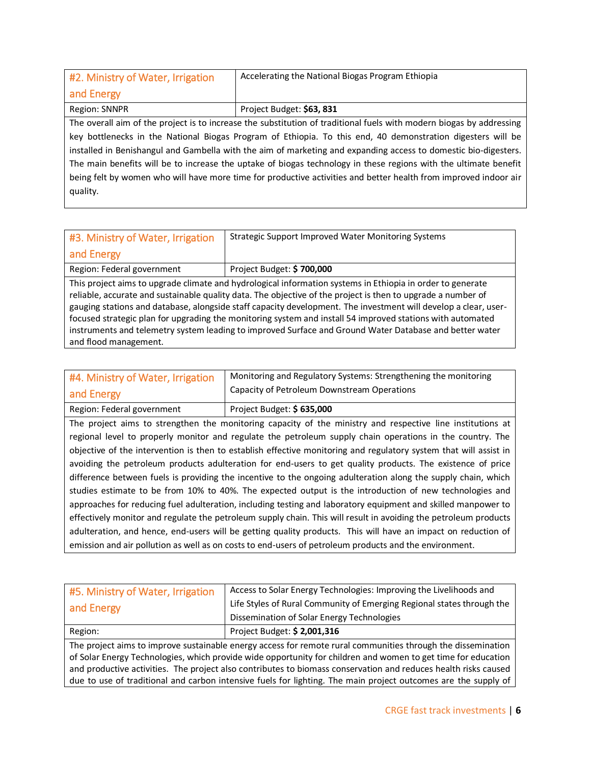| #2. Ministry of Water, Irrigation                                                                                    | Accelerating the National Biogas Program Ethiopia |
|----------------------------------------------------------------------------------------------------------------------|---------------------------------------------------|
| and Energy                                                                                                           |                                                   |
| Region: SNNPR                                                                                                        | Project Budget: \$63, 831                         |
| The overall aim of the project is to increase the substitution of traditional fuels with modern biogas by addressing |                                                   |
| key bottlenecks in the National Biogas Program of Ethiopia. To this end, 40 demonstration digesters will be          |                                                   |
| installed in Benishangul and Gambella with the aim of marketing and expanding access to domestic bio-digesters.      |                                                   |
| The main benefits will be to increase the uptake of biogas technology in these regions with the ultimate benefit     |                                                   |
| being felt by women who will have more time for productive activities and better health from improved indoor air     |                                                   |
| quality.                                                                                                             |                                                   |

| #3. Ministry of Water, Irrigation | <b>Strategic Support Improved Water Monitoring Systems</b>                                                                                                                                                                                                                                                                                                                                                                                                                                                                                                             |
|-----------------------------------|------------------------------------------------------------------------------------------------------------------------------------------------------------------------------------------------------------------------------------------------------------------------------------------------------------------------------------------------------------------------------------------------------------------------------------------------------------------------------------------------------------------------------------------------------------------------|
| and Energy                        |                                                                                                                                                                                                                                                                                                                                                                                                                                                                                                                                                                        |
| Region: Federal government        | Project Budget: \$700,000                                                                                                                                                                                                                                                                                                                                                                                                                                                                                                                                              |
| and flood management.             | This project aims to upgrade climate and hydrological information systems in Ethiopia in order to generate<br>reliable, accurate and sustainable quality data. The objective of the project is then to upgrade a number of<br>gauging stations and database, alongside staff capacity development. The investment will develop a clear, user-<br>focused strategic plan for upgrading the monitoring system and install 54 improved stations with automated<br>instruments and telemetry system leading to improved Surface and Ground Water Database and better water |

| #4. Ministry of Water, Irrigation<br>and Energy | Monitoring and Regulatory Systems: Strengthening the monitoring<br>Capacity of Petroleum Downstream Operations |
|-------------------------------------------------|----------------------------------------------------------------------------------------------------------------|
| Region: Federal government                      | Project Budget: \$635,000                                                                                      |
|                                                 |                                                                                                                |

The project aims to strengthen the monitoring capacity of the ministry and respective line institutions at regional level to properly monitor and regulate the petroleum supply chain operations in the country. The objective of the intervention is then to establish effective monitoring and regulatory system that will assist in avoiding the petroleum products adulteration for end-users to get quality products. The existence of price difference between fuels is providing the incentive to the ongoing adulteration along the supply chain, which studies estimate to be from 10% to 40%. The expected output is the introduction of new technologies and approaches for reducing fuel adulteration, including testing and laboratory equipment and skilled manpower to effectively monitor and regulate the petroleum supply chain. This will result in avoiding the petroleum products adulteration, and hence, end-users will be getting quality products. This will have an impact on reduction of emission and air pollution as well as on costs to end-users of petroleum products and the environment.

| #5. Ministry of Water, Irrigation                                                                             | Access to Solar Energy Technologies: Improving the Livelihoods and                                              |
|---------------------------------------------------------------------------------------------------------------|-----------------------------------------------------------------------------------------------------------------|
| and Energy                                                                                                    | Life Styles of Rural Community of Emerging Regional states through the                                          |
|                                                                                                               | Dissemination of Solar Energy Technologies                                                                      |
| Region:                                                                                                       | Project Budget: \$2,001,316                                                                                     |
| The project aims to improve sustainable energy access for remote rural communities through the dissemination  |                                                                                                                 |
| of Solar Energy Technologies, which provide wide opportunity for children and women to get time for education |                                                                                                                 |
|                                                                                                               | and productive activities. The project also contributes to biomass conservation and reduces health risks caused |
|                                                                                                               | due to use of traditional and carbon intensive fuels for lighting. The main project outcomes are the supply of  |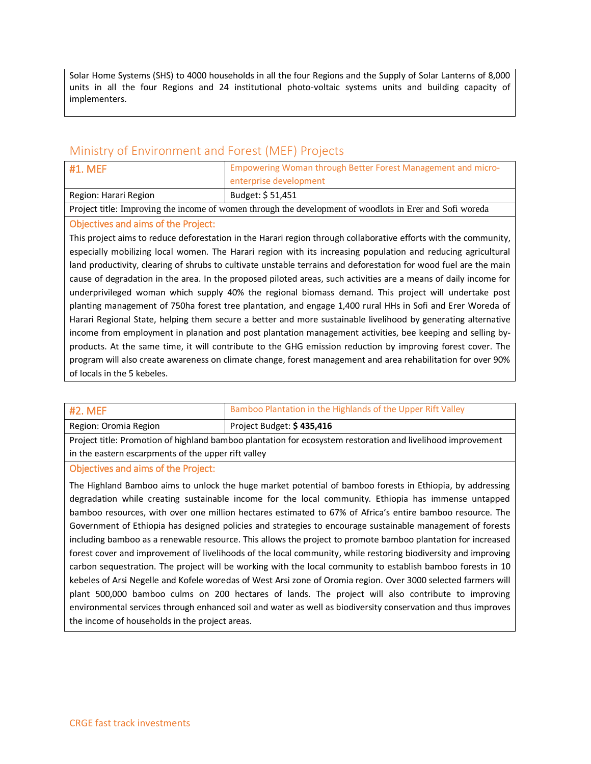Solar Home Systems (SHS) to 4000 households in all the four Regions and the Supply of Solar Lanterns of 8,000 units in all the four Regions and 24 institutional photo-voltaic systems units and building capacity of implementers.

## Ministry of Environment and Forest (MEF) Projects

| #1. MEF               | Empowering Woman through Better Forest Management and micro-<br>enterprise development |
|-----------------------|----------------------------------------------------------------------------------------|
| Region: Harari Region | Budget: \$51,451                                                                       |

Project title: Improving the income of women through the development of woodlots in Erer and Sofi woreda

#### Objectives and aims of the Project:

This project aims to reduce deforestation in the Harari region through collaborative efforts with the community, especially mobilizing local women. The Harari region with its increasing population and reducing agricultural land productivity, clearing of shrubs to cultivate unstable terrains and deforestation for wood fuel are the main cause of degradation in the area. In the proposed piloted areas, such activities are a means of daily income for underprivileged woman which supply 40% the regional biomass demand. This project will undertake post planting management of 750ha forest tree plantation, and engage 1,400 rural HHs in Sofi and Erer Woreda of Harari Regional State, helping them secure a better and more sustainable livelihood by generating alternative income from employment in planation and post plantation management activities, bee keeping and selling byproducts. At the same time, it will contribute to the GHG emission reduction by improving forest cover. The program will also create awareness on climate change, forest management and area rehabilitation for over 90% of locals in the 5 kebeles.

| #2. MEF               | Bamboo Plantation in the Highlands of the Upper Rift Valley |
|-----------------------|-------------------------------------------------------------|
| Region: Oromia Region | Project Budget: \$435,416                                   |

Project title: Promotion of highland bamboo plantation for ecosystem restoration and livelihood improvement in the eastern escarpments of the upper rift valley

#### Objectives and aims of the Project:

The Highland Bamboo aims to unlock the huge market potential of bamboo forests in Ethiopia, by addressing degradation while creating sustainable income for the local community. Ethiopia has immense untapped bamboo resources, with over one million hectares estimated to 67% of Africa's entire bamboo resource. The Government of Ethiopia has designed policies and strategies to encourage sustainable management of forests including bamboo as a renewable resource. This allows the project to promote bamboo plantation for increased forest cover and improvement of livelihoods of the local community, while restoring biodiversity and improving carbon sequestration. The project will be working with the local community to establish bamboo forests in 10 kebeles of Arsi Negelle and Kofele woredas of West Arsi zone of Oromia region. Over 3000 selected farmers will plant 500,000 bamboo culms on 200 hectares of lands. The project will also contribute to improving environmental services through enhanced soil and water as well as biodiversity conservation and thus improves the income of households in the project areas.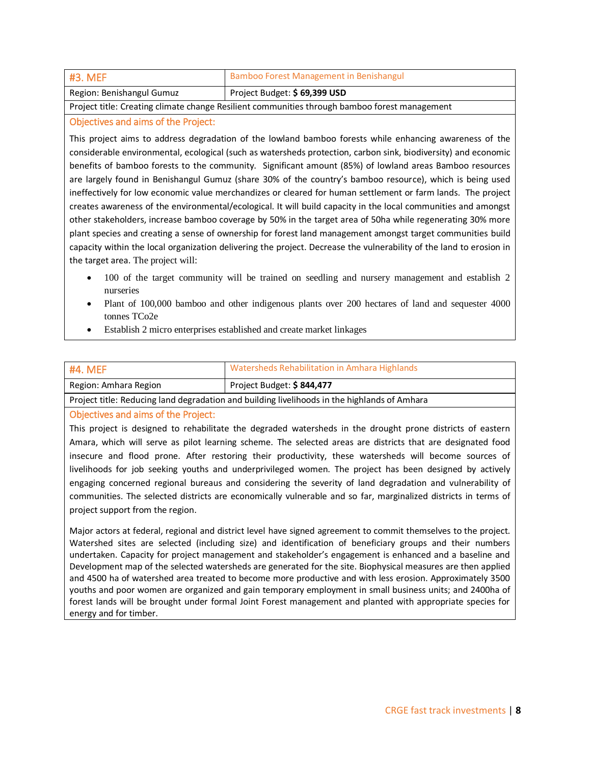| #3. MEF                                                                                       | Bamboo Forest Management in Benishangul |
|-----------------------------------------------------------------------------------------------|-----------------------------------------|
| Region: Benishangul Gumuz                                                                     | Project Budget: \$69,399 USD            |
| Project title: Creating climate change Resilient communities through bamboo forest management |                                         |

#### Objectives and aims of the Project:

This project aims to address degradation of the lowland bamboo forests while enhancing awareness of the considerable environmental, ecological (such as watersheds protection, carbon sink, biodiversity) and economic benefits of bamboo forests to the community. Significant amount (85%) of lowland areas Bamboo resources are largely found in Benishangul Gumuz (share 30% of the country's bamboo resource), which is being used ineffectively for low economic value merchandizes or cleared for human settlement or farm lands. The project creates awareness of the environmental/ecological. It will build capacity in the local communities and amongst other stakeholders, increase bamboo coverage by 50% in the target area of 50ha while regenerating 30% more plant species and creating a sense of ownership for forest land management amongst target communities build capacity within the local organization delivering the project. Decrease the vulnerability of the land to erosion in the target area. The project will:

- 100 of the target community will be trained on seedling and nursery management and establish 2 nurseries
- Plant of 100,000 bamboo and other indigenous plants over 200 hectares of land and sequester 4000 tonnes TCo2e
- Establish 2 micro enterprises established and create market linkages

| #4. MEF                                                                                      | Watersheds Rehabilitation in Amhara Highlands |
|----------------------------------------------------------------------------------------------|-----------------------------------------------|
| Region: Amhara Region                                                                        | Project Budget: \$844,477                     |
| Project title: Reducing land degradation and building livelihoods in the highlands of Amhara |                                               |

#### Objectives and aims of the Project:

This project is designed to rehabilitate the degraded watersheds in the drought prone districts of eastern Amara, which will serve as pilot learning scheme. The selected areas are districts that are designated food insecure and flood prone. After restoring their productivity, these watersheds will become sources of livelihoods for job seeking youths and underprivileged women. The project has been designed by actively engaging concerned regional bureaus and considering the severity of land degradation and vulnerability of communities. The selected districts are economically vulnerable and so far, marginalized districts in terms of project support from the region.

Major actors at federal, regional and district level have signed agreement to commit themselves to the project. Watershed sites are selected (including size) and identification of beneficiary groups and their numbers undertaken. Capacity for project management and stakeholder's engagement is enhanced and a baseline and Development map of the selected watersheds are generated for the site. Biophysical measures are then applied and 4500 ha of watershed area treated to become more productive and with less erosion. Approximately 3500 youths and poor women are organized and gain temporary employment in small business units; and 2400ha of forest lands will be brought under formal Joint Forest management and planted with appropriate species for energy and for timber.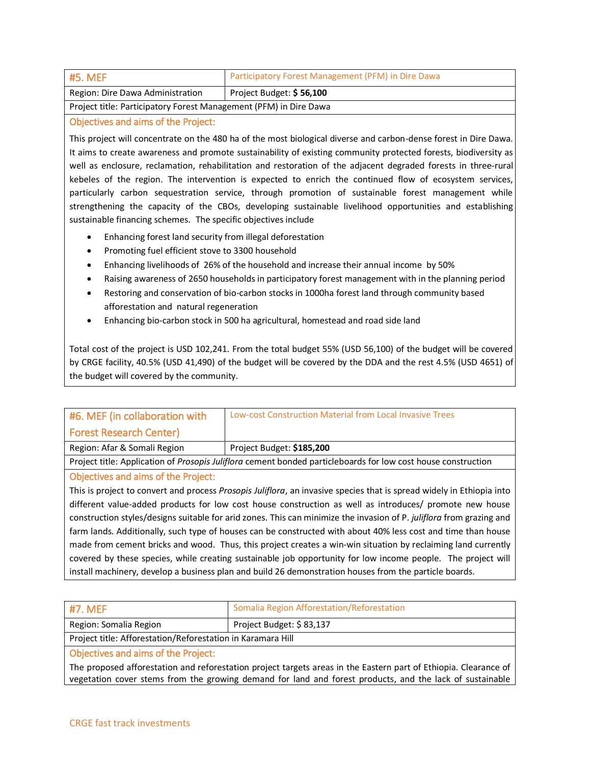| #5. MEF                                                           | Participatory Forest Management (PFM) in Dire Dawa |
|-------------------------------------------------------------------|----------------------------------------------------|
| Region: Dire Dawa Administration                                  | Project Budget: \$56,100                           |
| Project title: Participatory Forest Management (PFM) in Dire Dawa |                                                    |

#### Objectives and aims of the Project:

This project will concentrate on the 480 ha of the most biological diverse and carbon-dense forest in Dire Dawa. It aims to create awareness and promote sustainability of existing community protected forests, biodiversity as well as enclosure, reclamation, rehabilitation and restoration of the adjacent degraded forests in three-rural kebeles of the region. The intervention is expected to enrich the continued flow of ecosystem services, particularly carbon sequestration service, through promotion of sustainable forest management while strengthening the capacity of the CBOs, developing sustainable livelihood opportunities and establishing sustainable financing schemes. The specific objectives include

- Enhancing forest land security from illegal deforestation
- Promoting fuel efficient stove to 3300 household
- Enhancing livelihoods of 26% of the household and increase their annual income by 50%
- Raising awareness of 2650 households in participatory forest management with in the planning period
- Restoring and conservation of bio-carbon stocks in 1000ha forest land through community based afforestation and natural regeneration
- Enhancing bio-carbon stock in 500 ha agricultural, homestead and road side land

Total cost of the project is USD 102,241. From the total budget 55% (USD 56,100) of the budget will be covered by CRGE facility, 40.5% (USD 41,490) of the budget will be covered by the DDA and the rest 4.5% (USD 4651) of the budget will covered by the community.

| #6. MEF (in collaboration with                                                                                        | Low-cost Construction Material from Local Invasive Trees                                                      |
|-----------------------------------------------------------------------------------------------------------------------|---------------------------------------------------------------------------------------------------------------|
| <b>Forest Research Center)</b>                                                                                        |                                                                                                               |
| Region: Afar & Somali Region                                                                                          | Project Budget: \$185,200                                                                                     |
|                                                                                                                       | Project title: Application of Prosopis Juliflora cement bonded particleboards for low cost house construction |
| <b>Objectives and aims of the Project:</b>                                                                            |                                                                                                               |
| This is project to convert and process Prosopis Juliflora, an invasive species that is spread widely in Ethiopia into |                                                                                                               |
| different value-added products for low cost house construction as well as introduces/ promote new house               |                                                                                                               |
| construction styles/designs suitable for arid zones. This can minimize the invasion of P. juliflora from grazing and  |                                                                                                               |
| farm lands. Additionally, such type of houses can be constructed with about 40% less cost and time than house         |                                                                                                               |
| made from cement bricks and wood. Thus, this project creates a win-win situation by reclaiming land currently         |                                                                                                               |
| covered by these species, while creating sustainable job opportunity for low income people. The project will          |                                                                                                               |
| install machinery, develop a business plan and build 26 demonstration houses from the particle boards.                |                                                                                                               |

| #7. MEF                                                     | Somalia Region Afforestation/Reforestation |
|-------------------------------------------------------------|--------------------------------------------|
| Region: Somalia Region                                      | Project Budget: \$83,137                   |
| Project title: Afforestation/Reforestation in Karamara Hill |                                            |
| Ohjectives and aims of the Project:                         |                                            |

#### Objectives and aims of the Project:

The proposed afforestation and reforestation project targets areas in the Eastern part of Ethiopia. Clearance of vegetation cover stems from the growing demand for land and forest products, and the lack of sustainable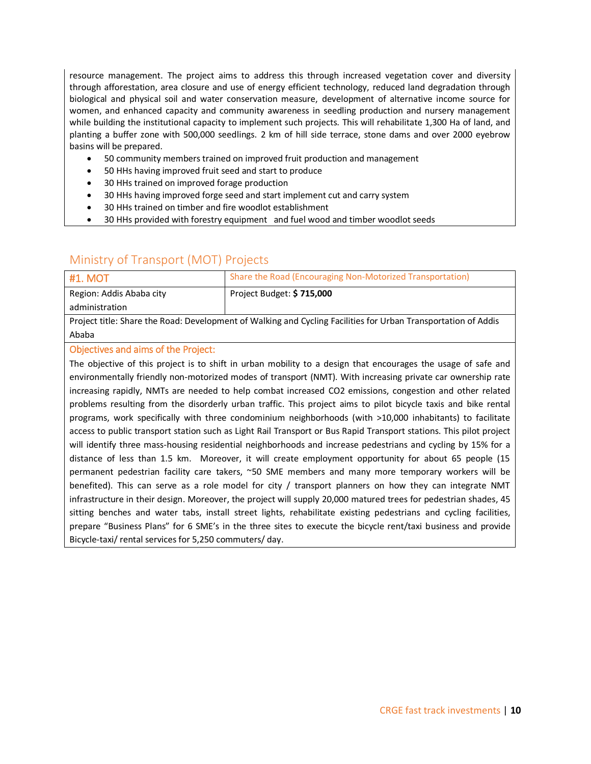resource management. The project aims to address this through increased vegetation cover and diversity through afforestation, area closure and use of energy efficient technology, reduced land degradation through biological and physical soil and water conservation measure, development of alternative income source for women, and enhanced capacity and community awareness in seedling production and nursery management while building the institutional capacity to implement such projects. This will rehabilitate 1,300 Ha of land, and planting a buffer zone with 500,000 seedlings. 2 km of hill side terrace, stone dams and over 2000 eyebrow basins will be prepared.

- 50 community members trained on improved fruit production and management
- 50 HHs having improved fruit seed and start to produce
- 30 HHs trained on improved forage production
- 30 HHs having improved forge seed and start implement cut and carry system
- 30 HHs trained on timber and fire woodlot establishment
- 30 HHs provided with forestry equipment and fuel wood and timber woodlot seeds

## Ministry of Transport (MOT) Projects

| <b>#1. MOT</b>                                                                                                  | Share the Road (Encouraging Non-Motorized Transportation) |
|-----------------------------------------------------------------------------------------------------------------|-----------------------------------------------------------|
| Region: Addis Ababa city                                                                                        | Project Budget: \$715,000                                 |
| administration                                                                                                  |                                                           |
| n think of the finite state of the first control of the finite of the finite of the finite of the finite of the |                                                           |

Project title: Share the Road: Development of Walking and Cycling Facilities for Urban Transportation of Addis Ababa

#### Objectives and aims of the Project:

The objective of this project is to shift in urban mobility to a design that encourages the usage of safe and environmentally friendly non-motorized modes of transport (NMT). With increasing private car ownership rate increasing rapidly, NMTs are needed to help combat increased CO2 emissions, congestion and other related problems resulting from the disorderly urban traffic. This project aims to pilot bicycle taxis and bike rental programs, work specifically with three condominium neighborhoods (with >10,000 inhabitants) to facilitate access to public transport station such as Light Rail Transport or Bus Rapid Transport stations. This pilot project will identify three mass-housing residential neighborhoods and increase pedestrians and cycling by 15% for a distance of less than 1.5 km. Moreover, it will create employment opportunity for about 65 people (15 permanent pedestrian facility care takers, ~50 SME members and many more temporary workers will be benefited). This can serve as a role model for city / transport planners on how they can integrate NMT infrastructure in their design. Moreover, the project will supply 20,000 matured trees for pedestrian shades, 45 sitting benches and water tabs, install street lights, rehabilitate existing pedestrians and cycling facilities, prepare "Business Plans" for 6 SME's in the three sites to execute the bicycle rent/taxi business and provide Bicycle-taxi/ rental services for 5,250 commuters/ day.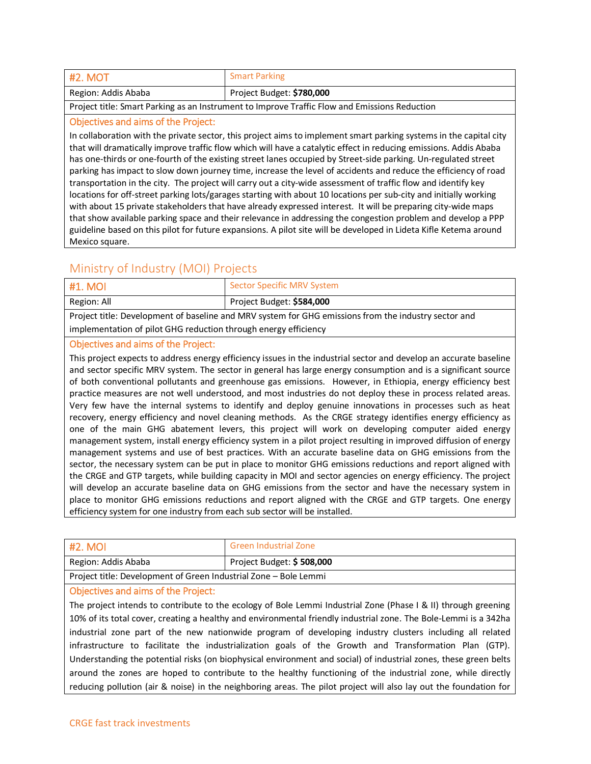| <b>#2. MOT</b>      | <b>Smart Parking</b>      |
|---------------------|---------------------------|
| Region: Addis Ababa | Project Budget: \$780,000 |

Project title: Smart Parking as an Instrument to Improve Traffic Flow and Emissions Reduction

#### Objectives and aims of the Project:

In collaboration with the private sector, this project aims to implement smart parking systems in the capital city that will dramatically improve traffic flow which will have a catalytic effect in reducing emissions. Addis Ababa has one-thirds or one-fourth of the existing street lanes occupied by Street-side parking. Un-regulated street parking has impact to slow down journey time, increase the level of accidents and reduce the efficiency of road transportation in the city. The project will carry out a city-wide assessment of traffic flow and identify key locations for off-street parking lots/garages starting with about 10 locations per sub-city and initially working with about 15 private stakeholders that have already expressed interest. It will be preparing city-wide maps that show available parking space and their relevance in addressing the congestion problem and develop a PPP guideline based on this pilot for future expansions. A pilot site will be developed in Lideta Kifle Ketema around Mexico square.

## Ministry of Industry (MOI) Projects

| 41. MOL                                                                                              | <b>Sector Specific MRV System</b> |
|------------------------------------------------------------------------------------------------------|-----------------------------------|
| Region: All                                                                                          | Project Budget: \$584,000         |
| Project title: Development of baseline and MRV system for GHG emissions from the industry sector and |                                   |
| implementation of pilot GHG reduction through energy efficiency                                      |                                   |

## Objectives and aims of the Project:

This project expects to address energy efficiency issues in the industrial sector and develop an accurate baseline and sector specific MRV system. The sector in general has large energy consumption and is a significant source of both conventional pollutants and greenhouse gas emissions. However, in Ethiopia, energy efficiency best practice measures are not well understood, and most industries do not deploy these in process related areas. Very few have the internal systems to identify and deploy genuine innovations in processes such as heat recovery, energy efficiency and novel cleaning methods. As the CRGE strategy identifies energy efficiency as one of the main GHG abatement levers, this project will work on developing computer aided energy management system, install energy efficiency system in a pilot project resulting in improved diffusion of energy management systems and use of best practices. With an accurate baseline data on GHG emissions from the sector, the necessary system can be put in place to monitor GHG emissions reductions and report aligned with the CRGE and GTP targets, while building capacity in MOI and sector agencies on energy efficiency. The project will develop an accurate baseline data on GHG emissions from the sector and have the necessary system in place to monitor GHG emissions reductions and report aligned with the CRGE and GTP targets. One energy efficiency system for one industry from each sub sector will be installed.

| #2. MOI                                                          | <b>Green Industrial Zone</b> |
|------------------------------------------------------------------|------------------------------|
| Region: Addis Ababa                                              | Project Budget: \$508,000    |
| Project title: Development of Green Industrial Zone – Bole Lemmi |                              |

#### Objectives and aims of the Project:

The project intends to contribute to the ecology of Bole Lemmi Industrial Zone (Phase I & II) through greening 10% of its total cover, creating a healthy and environmental friendly industrial zone. The Bole-Lemmi is a 342ha industrial zone part of the new nationwide program of developing industry clusters including all related infrastructure to facilitate the industrialization goals of the Growth and Transformation Plan (GTP). Understanding the potential risks (on biophysical environment and social) of industrial zones, these green belts around the zones are hoped to contribute to the healthy functioning of the industrial zone, while directly reducing pollution (air & noise) in the neighboring areas. The pilot project will also lay out the foundation for